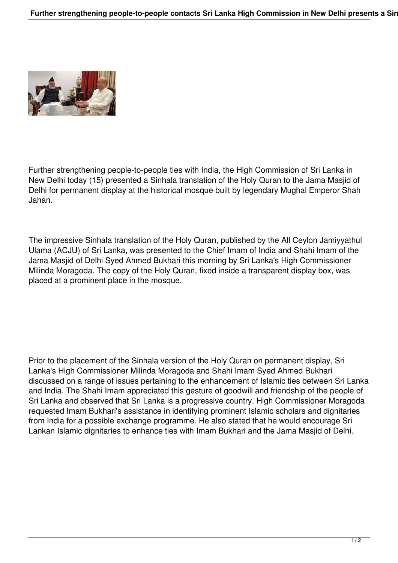

Further strengthening people-to-people ties with India, the High Commission of Sri Lanka in New Delhi today (15) presented a Sinhala translation of the Holy Quran to the Jama Masjid of Delhi for permanent display at the historical mosque built by legendary Mughal Emperor Shah Jahan.

The impressive Sinhala translation of the Holy Quran, published by the All Ceylon Jamiyyathul Ulama (ACJU) of Sri Lanka, was presented to the Chief Imam of India and Shahi Imam of the Jama Masjid of Delhi Syed Ahmed Bukhari this morning by Sri Lanka's High Commissioner Milinda Moragoda. The copy of the Holy Quran, fixed inside a transparent display box, was placed at a prominent place in the mosque.

Prior to the placement of the Sinhala version of the Holy Quran on permanent display, Sri Lanka's High Commissioner Milinda Moragoda and Shahi Imam Syed Ahmed Bukhari discussed on a range of issues pertaining to the enhancement of Islamic ties between Sri Lanka and India. The Shahi Imam appreciated this gesture of goodwill and friendship of the people of Sri Lanka and observed that Sri Lanka is a progressive country. High Commissioner Moragoda requested Imam Bukhari's assistance in identifying prominent Islamic scholars and dignitaries from India for a possible exchange programme. He also stated that he would encourage Sri Lankan Islamic dignitaries to enhance ties with Imam Bukhari and the Jama Masjid of Delhi.